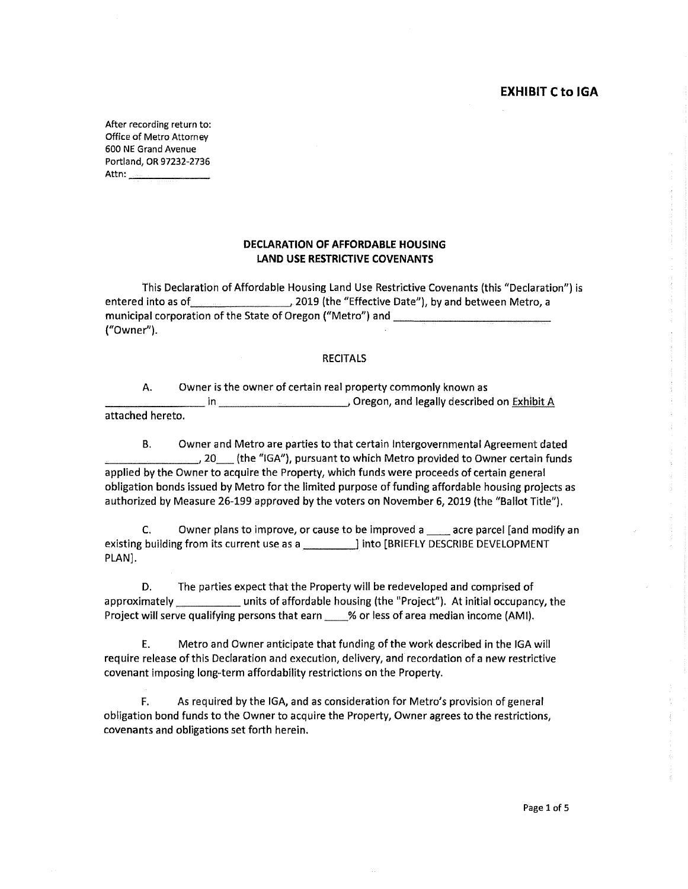After recording return to: Office of Metro Attorney 600 NE Grand Avenue Portland, OR 97232-2736 Attn: \_\_\_\_\_ \_\_.

# **DECLARATION OF AFFORDABLE HOUSING LAND USE RESTRICTIVE COVENANTS**

This Declaration of Affordable Housing Land Use Restrictive Covenants (this "Declaration") is entered into as of 2019 (the "Effective Date"), by and between Metro, a municipal corporation of the State of Oregon ("Metro") and \_\_\_\_\_\_\_\_\_\_\_\_\_\_\_\_\_\_\_\_\_ ("Owner").

#### **RECITALS**

A. Owner is the owner of certain real property commonly known as \_\_\_\_\_\_\_\_ in Oregon, and legally described on Exhibit A attached hereto.

B. Owner and Metro are parties to that certain Intergovernmental Agreement dated 5.10 (the "IGA"), pursuant to which Metro provided to Owner certain funds applied by the Owner to acquire the Property, which funds were proceeds of certain general obligation bonds issued by Metro for the limited purpose of funding affordable housing projects as authorized by Measure 26-199 approved by the voters on November 6, 2019 (the "Ballot Title").

C. Owner plans to improve, or cause to be improved a \_\_ acre parcel [and modify an existing building from its current use as a \_\_\_\_\_\_\_\_\_\_\_] into [BRIEFLY DESCRIBE DEVELOPMENT PLAN).

D. The parties expect that the Property will be redeveloped and comprised of approximately units of affordable housing (the "Project"). At initial occupancy, the Project will serve qualifying persons that earn \_\_\_ % or less of area median income (AMI).

E. Metro and Owner anticipate that funding of the work described in the IGA will require release of this Declaration and execution, delivery, and recordation of a new restrictive covenant imposing long-term affordability restrictions on the Property.

F. As required by the IGA, and as consideration for Metro's provision of general obligation bond funds to the Owner to acquire the Property, Owner agrees to the restrictions, covenants and obligations set forth herein.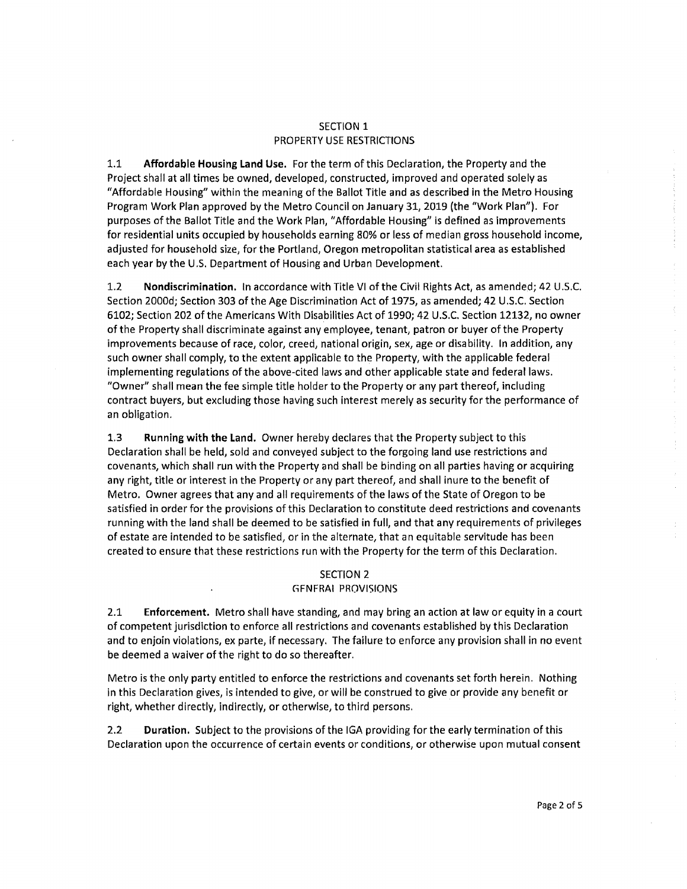### SECTION 1 PROPERTY USE RESTRICTIONS

1.1 **Affordable Housing Land Use.** For the term of this Declaration, the Property and the Project shall at all times be owned, developed, constructed, improved and operated solely as "Affordable Housing" within the meaning of the Ballot Title and as described in the Metro Housing Program Work Plan approved by the Metro Council on January 31, 2019 (the "Work Plan"). For purposes of the Ballot Title and the Work Plan, "Affordable Housing" is defined as improvements for residential units occupied by households earning 80% or less of median gross household income, adjusted for household size, for the Portland, Oregon metropolitan statistical area as established each year by the U.S. Department of Housing and Urban Development.

1.2 **Nondiscrimination.** In accordance with Title VI of the Civil Rights Act, as amended; 42 U .S.C. Section 2000d; Section 303 of the Age Discrimination Act of 1975, as amended; 42 U.S.C. Section 6102; Section 202 of the Americans With Disabilities Act of 1990; 42 U.S.C. Section 12132, no owner of the Property shall discriminate against any employee, tenant, patron or buyer of the Property improvements because of race, color, creed, national origin, sex, age or disability. In addition, any such owner shall comply, to the extent applicable to the Property, with the applicable federal implementing regulations of the above-cited laws and other applicable state and federal laws. "Owner" shall mean the fee simple title holder to the Property or any part thereof, including contract buyers, but excluding those having such interest merely as security for the performance of an obligation.

1.3 **Running with the Land.** Owner hereby declares that the Property subject to this Declaration shall be held, sold and conveyed subject to the forgoing land use restrictions and covenants, which shall run with the Property and shall be binding on all parties having or acquiring any right, title or interest in the Property or any part thereof, and shall inure to the benefit of Metro. Owner agrees that any and all requirements of the laws of the State of Oregon to be satisfied in order for the provisions of this Declaration to constitute deed restrictions and covenants running with the land shall be deemed to be satisfied in full, and that any requirements of privileges of estate are intended to be satisfied, or in the alternate, that an equitable servitude has been created to ensure that these restrictions run with the Property for the term of this Declaration.

# SECTION 2

# **GENERAI PROVISIONS**

2.1 **Enforcement.** Metro shall have standing, and may bring an action at law or equity in a court of competent jurisdiction to enforce all restrictions and covenants established by this Declaration and to enjoin violations, ex parte, if necessary. The failure to enforce any provision shall in no event be deemed a waiver of the right to do so thereafter.

Metro is the only party entitled to enforce the restrictions and covenants set forth herein. Nothing in this Declaration gives, is intended to give, or will be construed to give or provide any benefit or right, whether directly, indirectly, or otherwise, to third persons.

2.2 **Duration.** Subject to the provisions of the IGA providing for the early termination of this Declaration upon the occurrence of certain events or conditions, or otherwise upon mutual consent  $\zeta$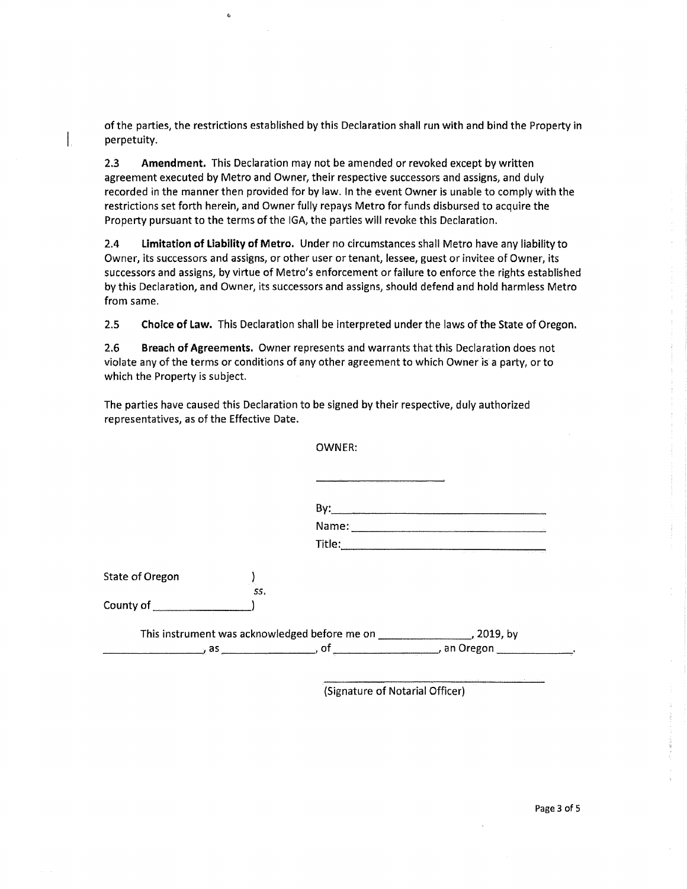of the parties, the restrictions established by this Declaration shall run with and bind the Property in perpetuity.

 $\hat{\mathbf{G}}$ 

2.3 **Amendment.** This Declaration may not be amended or revoked except by written agreement executed by Metro and Owner, their respective successors and assigns, and duly recorded in the manner then provided for by law. In the event Owner is unable to comply with the restrictions set forth herein, and Owner fully repays Metro for funds disbursed to acquire the Property pursuant to the terms of the IGA, the parties will revoke this Declaration.

2.4 **Limitation of liability of Metro.** Under no circumstances shall Metro have any liability to Owner, its successors and assigns, or other user or tenant, lessee, guest or invitee of Owner, its successors and assigns, by virtue of Metro's enforcement or failure to enforce the rights established by this Declaration, and Owner, its successors and assigns, should defend and hold harmless Metro from same.

2.5 **Choice of law.** This Declaration shall be interpreted under the laws of the State of Oregon.

2.6 **Breach of Agreements.** Owner represents and warrants that this Declaration does not violate any of the terms or conditions of any other agreement to which Owner is a party, or to which the Property is subject.

The parties have caused this Declaration to be signed by their respective, duly authorized representatives, as of the Effective Date.

OWNER:

| By:    |  |
|--------|--|
| Name:  |  |
| Title: |  |

| State of Oregon |     |
|-----------------|-----|
|                 | SS. |
| County of       |     |

| This instrument was acknowledged before me on | , 2019, by |
|-----------------------------------------------|------------|
| a:                                            | an Oregon  |

(Signature of Notarial Officer)